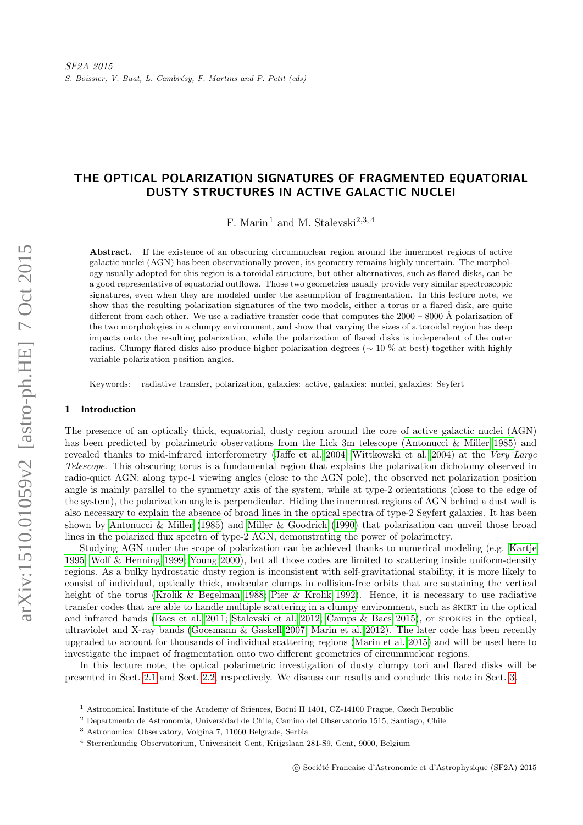# THE OPTICAL POLARIZATION SIGNATURES OF FRAGMENTED EQUATORIAL DUSTY STRUCTURES IN ACTIVE GALACTIC NUCLEI

F. Marin<sup>1</sup> and M. Stalevski<sup>2,3,4</sup>

Abstract. If the existence of an obscuring circumnuclear region around the innermost regions of active galactic nuclei (AGN) has been observationally proven, its geometry remains highly uncertain. The morphology usually adopted for this region is a toroidal structure, but other alternatives, such as flared disks, can be a good representative of equatorial outflows. Those two geometries usually provide very similar spectroscopic signatures, even when they are modeled under the assumption of fragmentation. In this lecture note, we show that the resulting polarization signatures of the two models, either a torus or a flared disk, are quite different from each other. We use a radiative transfer code that computes the  $2000 - 8000$  Å polarization of the two morphologies in a clumpy environment, and show that varying the sizes of a toroidal region has deep impacts onto the resulting polarization, while the polarization of flared disks is independent of the outer radius. Clumpy flared disks also produce higher polarization degrees (∼ 10 % at best) together with highly variable polarization position angles.

Keywords: radiative transfer, polarization, galaxies: active, galaxies: nuclei, galaxies: Seyfert

# 1 Introduction

The presence of an optically thick, equatorial, dusty region around the core of active galactic nuclei (AGN) has been predicted by polarimetric observations from the Lick 3m telescope [\(Antonucci & Miller 1985\)](#page-3-0) and revealed thanks to mid-infrared interferometry [\(Jaffe et al. 2004;](#page-3-1) [Wittkowski et al. 2004\)](#page-3-2) at the Very Large Telescope. This obscuring torus is a fundamental region that explains the polarization dichotomy observed in radio-quiet AGN: along type-1 viewing angles (close to the AGN pole), the observed net polarization position angle is mainly parallel to the symmetry axis of the system, while at type-2 orientations (close to the edge of the system), the polarization angle is perpendicular. Hiding the innermost regions of AGN behind a dust wall is also necessary to explain the absence of broad lines in the optical spectra of type-2 Seyfert galaxies. It has been shown by [Antonucci & Miller](#page-3-0) [\(1985\)](#page-3-0) and [Miller & Goodrich](#page-3-3) [\(1990\)](#page-3-3) that polarization can unveil those broad lines in the polarized flux spectra of type-2 AGN, demonstrating the power of polarimetry.

Studying AGN under the scope of polarization can be achieved thanks to numerical modeling (e.g. [Kartje](#page-3-4) [1995;](#page-3-4) [Wolf & Henning 1999;](#page-3-5) [Young 2000\)](#page-3-6), but all those codes are limited to scattering inside uniform-density regions. As a bulky hydrostatic dusty region is inconsistent with self-gravitational stability, it is more likely to consist of individual, optically thick, molecular clumps in collision-free orbits that are sustaining the vertical height of the torus [\(Krolik & Begelman 1988;](#page-3-7) [Pier & Krolik 1992\)](#page-3-8). Hence, it is necessary to use radiative transfer codes that are able to handle multiple scattering in a clumpy environment, such as SKIRT in the optical and infrared bands [\(Baes et al. 2011;](#page-3-9) [Stalevski et al. 2012;](#page-3-10) [Camps & Baes 2015\)](#page-3-11), or stokes in the optical, ultraviolet and X-ray bands [\(Goosmann & Gaskell 2007;](#page-3-12) [Marin et al. 2012\)](#page-3-13). The later code has been recently upgraded to account for thousands of individual scattering regions [\(Marin et al. 2015\)](#page-3-14) and will be used here to investigate the impact of fragmentation onto two different geometries of circumnuclear regions.

In this lecture note, the optical polarimetric investigation of dusty clumpy tori and flared disks will be presented in Sect. [2.1](#page-1-0) and Sect. [2.2,](#page-2-0) respectively. We discuss our results and conclude this note in Sect. [3.](#page-3-15)

<sup>&</sup>lt;sup>1</sup> Astronomical Institute of the Academy of Sciences, Boční II 1401, CZ-14100 Prague, Czech Republic

<sup>2</sup> Departmento de Astronomia, Universidad de Chile, Camino del Observatorio 1515, Santiago, Chile

<sup>3</sup> Astronomical Observatory, Volgina 7, 11060 Belgrade, Serbia

<sup>4</sup> Sterrenkundig Observatorium, Universiteit Gent, Krijgslaan 281-S9, Gent, 9000, Belgium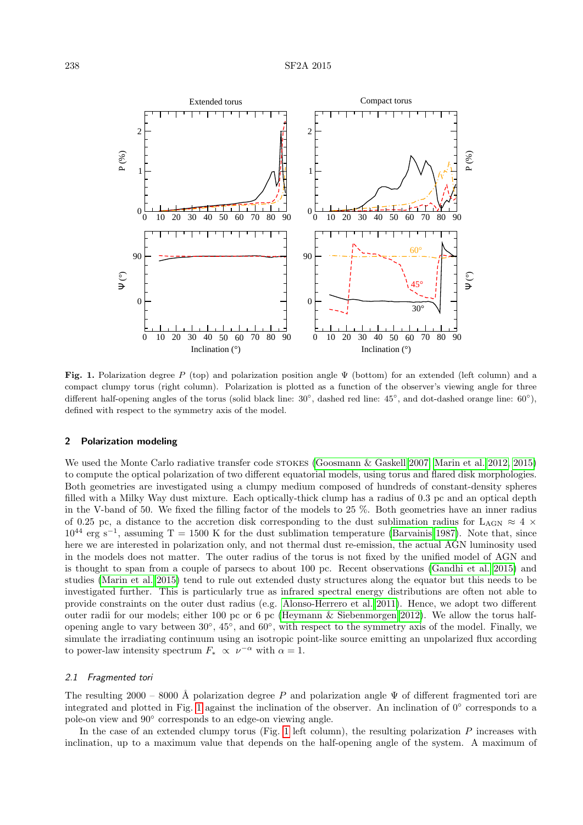

<span id="page-1-1"></span>Fig. 1. Polarization degree P (top) and polarization position angle Ψ (bottom) for an extended (left column) and a compact clumpy torus (right column). Polarization is plotted as a function of the observer's viewing angle for three different half-opening angles of the torus (solid black line:  $30^\circ$ , dashed red line:  $45^\circ$ , and dot-dashed orange line:  $60^\circ$ ), defined with respect to the symmetry axis of the model.

## 2 Polarization modeling

We used the Monte Carlo radiative transfer code stokes [\(Goosmann & Gaskell 2007;](#page-3-12) [Marin et al. 2012,](#page-3-13) [2015\)](#page-3-14) to compute the optical polarization of two different equatorial models, using torus and flared disk morphologies. Both geometries are investigated using a clumpy medium composed of hundreds of constant-density spheres filled with a Milky Way dust mixture. Each optically-thick clump has a radius of 0.3 pc and an optical depth in the V-band of 50. We fixed the filling factor of the models to 25 %. Both geometries have an inner radius of 0.25 pc, a distance to the accretion disk corresponding to the dust sublimation radius for  $L_{AGN} \approx 4 \times$  $10^{44}$  erg s<sup>-1</sup>, assuming T = 1500 K for the dust sublimation temperature [\(Barvainis 1987\)](#page-3-16). Note that, since here we are interested in polarization only, and not thermal dust re-emission, the actual AGN luminosity used in the models does not matter. The outer radius of the torus is not fixed by the unified model of AGN and is thought to span from a couple of parsecs to about 100 pc. Recent observations [\(Gandhi et al. 2015\)](#page-3-17) and studies [\(Marin et al. 2015\)](#page-3-14) tend to rule out extended dusty structures along the equator but this needs to be investigated further. This is particularly true as infrared spectral energy distributions are often not able to provide constraints on the outer dust radius (e.g. [Alonso-Herrero et al. 2011\)](#page-3-18). Hence, we adopt two different outer radii for our models; either 100 pc or 6 pc [\(Heymann & Siebenmorgen 2012\)](#page-3-19). We allow the torus halfopening angle to vary between 30°, 45°, and 60°, with respect to the symmetry axis of the model. Finally, we simulate the irradiating continuum using an isotropic point-like source emitting an unpolarized flux according to power-law intensity spectrum  $F_* \propto \nu^{-\alpha}$  with  $\alpha = 1$ .

#### <span id="page-1-0"></span>2.1 Fragmented tori

The resulting 2000 – 8000 Å polarization degree P and polarization angle  $\Psi$  of different fragmented tori are integrated and plotted in Fig. [1](#page-1-1) against the inclination of the observer. An inclination of 0◦ corresponds to a pole-on view and 90◦ corresponds to an edge-on viewing angle.

In the case of an extended clumpy torus (Fig. [1](#page-1-1) left column), the resulting polarization  $P$  increases with inclination, up to a maximum value that depends on the half-opening angle of the system. A maximum of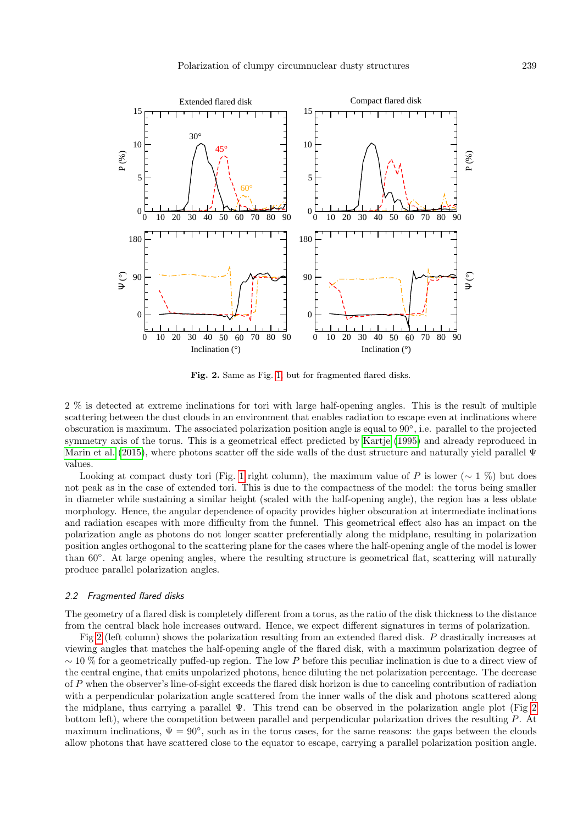

<span id="page-2-1"></span>Fig. 2. Same as Fig. [1,](#page-1-1) but for fragmented flared disks.

2 % is detected at extreme inclinations for tori with large half-opening angles. This is the result of multiple scattering between the dust clouds in an environment that enables radiation to escape even at inclinations where obscuration is maximum. The associated polarization position angle is equal to 90◦ , i.e. parallel to the projected symmetry axis of the torus. This is a geometrical effect predicted by [Kartje](#page-3-4) [\(1995\)](#page-3-4) and already reproduced in [Marin et al.](#page-3-14) [\(2015\)](#page-3-14), where photons scatter off the side walls of the dust structure and naturally yield parallel Ψ values.

Looking at compact dusty tori (Fig. [1](#page-1-1) right column), the maximum value of P is lower ( $\sim 1\%$ ) but does not peak as in the case of extended tori. This is due to the compactness of the model: the torus being smaller in diameter while sustaining a similar height (scaled with the half-opening angle), the region has a less oblate morphology. Hence, the angular dependence of opacity provides higher obscuration at intermediate inclinations and radiation escapes with more difficulty from the funnel. This geometrical effect also has an impact on the polarization angle as photons do not longer scatter preferentially along the midplane, resulting in polarization position angles orthogonal to the scattering plane for the cases where the half-opening angle of the model is lower than 60◦ . At large opening angles, where the resulting structure is geometrical flat, scattering will naturally produce parallel polarization angles.

### <span id="page-2-0"></span>2.2 Fragmented flared disks

The geometry of a flared disk is completely different from a torus, as the ratio of the disk thickness to the distance from the central black hole increases outward. Hence, we expect different signatures in terms of polarization.

Fig [2](#page-2-1) (left column) shows the polarization resulting from an extended flared disk. P drastically increases at viewing angles that matches the half-opening angle of the flared disk, with a maximum polarization degree of  $\sim$  10 % for a geometrically puffed-up region. The low P before this peculiar inclination is due to a direct view of the central engine, that emits unpolarized photons, hence diluting the net polarization percentage. The decrease of P when the observer's line-of-sight exceeds the flared disk horizon is due to canceling contribution of radiation with a perpendicular polarization angle scattered from the inner walls of the disk and photons scattered along the midplane, thus carrying a parallel  $\Psi$ . This trend can be observed in the polarization angle plot (Fig [2](#page-2-1)) bottom left), where the competition between parallel and perpendicular polarization drives the resulting P. At maximum inclinations,  $\Psi = 90^{\circ}$ , such as in the torus cases, for the same reasons: the gaps between the clouds allow photons that have scattered close to the equator to escape, carrying a parallel polarization position angle.